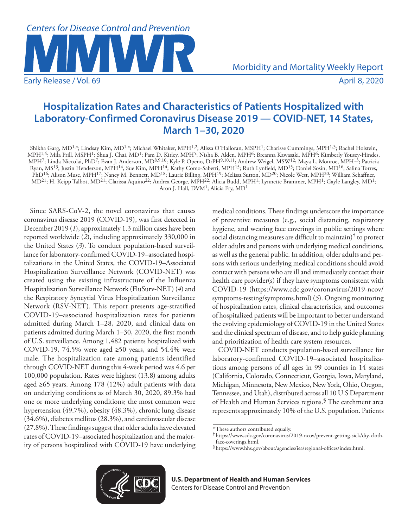

# **Hospitalization Rates and Characteristics of Patients Hospitalized with Laboratory-Confirmed Coronavirus Disease 2019 — COVID-NET, 14 States, March 1–30, 2020**

Shikha Garg, MD1,\*; Lindsay Kim, MD1,\*; Michael Whitaker, MPH1,2; Alissa O'Halloran, MSPH1; Charisse Cummings, MPH1,3; Rachel Holstein, MPH1,4; Mila Prill, MSPH1; Shua J. Chai, MD1; Pam D. Kirley, MPH5; Nisha B. Alden, MPH6; Breanna Kawasaki, MPH6; Kimberly Yousey-Hindes, MPH7; Linda Niccolai, PhD7; Evan J. Anderson, MD8,9,10; Kyle P. Openo, DrPH9,10,11; Andrew Weigel, MSW12; Maya L. Monroe, MPH13; Patricia Ryan, MS<sup>13</sup>; Justin Henderson, MPH<sup>14</sup>, Sue Kim, MPH<sup>14</sup>; Kathy Como-Sabetti, MPH<sup>15</sup>; Ruth Lynfield, MD<sup>15</sup>; Daniel Sosin, MD<sup>16</sup>; Salina Torres, PhD<sup>16</sup>; Alison Muse, MPH<sup>17</sup>; Nancy M. Bennett, MD<sup>18</sup>; Laurie Billing, MPH<sup>19</sup>; Melissa Sutton, MD<sup>20</sup>; Nicole West, MPH<sup>20</sup>; William Schaffner,  $MD^{21}$ ; H. Keipp Talbot, MD<sup>21</sup>; Clarissa Aquino<sup>22</sup>; Andrea George, MPH<sup>22</sup>; Alicia Budd, MPH<sup>1</sup>; Lynnette Brammer, MPH<sup>1</sup>; Gayle Langley, MD<sup>1</sup>; Aron J. Hall, DVM<sup>1</sup>; Alicia Fry, MD<sup>1</sup>

Since SARS-CoV-2, the novel coronavirus that causes coronavirus disease 2019 (COVID-19), was first detected in December 2019 (*1*), approximately 1.3 million cases have been reported worldwide (*2*), including approximately 330,000 in the United States (*3*). To conduct population-based surveillance for laboratory-confirmed COVID-19–associated hospitalizations in the United States, the COVID-19–Associated Hospitalization Surveillance Network (COVID-NET) was created using the existing infrastructure of the Influenza Hospitalization Surveillance Network (FluSurv-NET) (*4*) and the Respiratory Syncytial Virus Hospitalization Surveillance Network (RSV-NET). This report presents age-stratified COVID-19–associated hospitalization rates for patients admitted during March 1–28, 2020, and clinical data on patients admitted during March 1–30, 2020, the first month of U.S. surveillance. Among 1,482 patients hospitalized with COVID-19, 74.5% were aged ≥50 years, and 54.4% were male. The hospitalization rate among patients identified through COVID-NET during this 4-week period was 4.6 per 100,000 population. Rates were highest (13.8) among adults aged ≥65 years. Among 178 (12%) adult patients with data on underlying conditions as of March 30, 2020, 89.3% had one or more underlying conditions; the most common were hypertension (49.7%), obesity (48.3%), chronic lung disease (34.6%), diabetes mellitus (28.3%), and cardiovascular disease (27.8%). These findings suggest that older adults have elevated rates of COVID-19–associated hospitalization and the majority of persons hospitalized with COVID-19 have underlying medical conditions. These findings underscore the importance of preventive measures (e.g., social distancing, respiratory hygiene, and wearing face coverings in public settings where social distancing measures are difficult to maintain)† to protect older adults and persons with underlying medical conditions, as well as the general public. In addition, older adults and persons with serious underlying medical conditions should avoid contact with persons who are ill and immediately contact their health care provider(s) if they have symptoms consistent with COVID-19 ([https://www.cdc.gov/coronavirus/2019-ncov/](https://www.cdc.gov/coronavirus/2019-ncov/symptoms-testing/symptoms.html) [symptoms-testing/symptoms.html](https://www.cdc.gov/coronavirus/2019-ncov/symptoms-testing/symptoms.html)) (*5*). Ongoing monitoring of hospitalization rates, clinical characteristics, and outcomes of hospitalized patients will be important to better understand the evolving epidemiology of COVID-19 in the United States and the clinical spectrum of disease, and to help guide planning and prioritization of health care system resources.

COVID-NET conducts population-based surveillance for laboratory-confirmed COVID-19–associated hospitalizations among persons of all ages in 99 counties in 14 states (California, Colorado, Connecticut, Georgia, Iowa, Maryland, Michigan, Minnesota, New Mexico, New York, Ohio, Oregon, Tennessee, and Utah), distributed across all 10 U.S Department of Health and Human Services regions.§ The catchment area represents approximately 10% of the U.S. population. Patients



<sup>\*</sup>These authors contributed equally.

<sup>†</sup> [https://www.cdc.gov/coronavirus/2019-ncov/prevent-getting-sick/diy-cloth-](https://www.cdc.gov/coronavirus/2019-ncov/prevent-getting-sick/diy-cloth-face-coverings.html)

 $%$ [https://www.hhs.gov/about/agencies/iea/regional-offices/index.html.](https://www.hhs.gov/about/agencies/iea/regional-offices/index.html)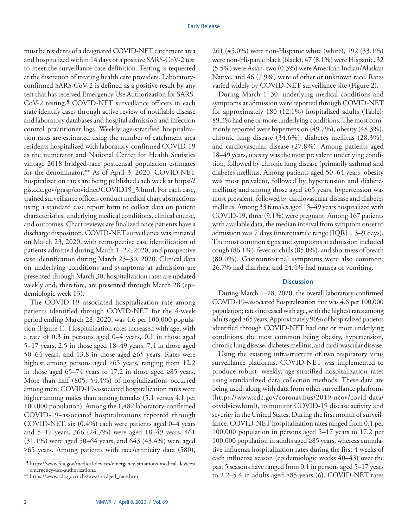must be residents of a designated COVID-NET catchment area and hospitalized within 14 days of a positive SARS-CoV-2 test to meet the surveillance case definition. Testing is requested at the discretion of treating health care providers. Laboratoryconfirmed SARS-CoV-2 is defined as a positive result by any test that has received Emergency Use Authorization for SARS-CoV-2 testing.¶ COVID-NET surveillance officers in each state identify cases through active review of notifiable disease and laboratory databases and hospital admission and infection control practitioner logs. Weekly age-stratified hospitalization rates are estimated using the number of catchment area residents hospitalized with laboratory-confirmed COVID-19 as the numerator and National Center for Health Statistics vintage 2018 bridged-race postcensal population estimates for the denominator.\*\* As of April 3, 2020, COVID-NET hospitalization rates are being published each week at [https://](https://gis.cdc.gov/grasp/covidnet/COVID19_3.html) [gis.cdc.gov/grasp/covidnet/COVID19\\_3.html.](https://gis.cdc.gov/grasp/covidnet/COVID19_3.html) For each case, trained surveillance officers conduct medical chart abstractions using a standard case report form to collect data on patient characteristics, underlying medical conditions, clinical course, and outcomes. Chart reviews are finalized once patients have a discharge disposition. COVID-NET surveillance was initiated on March 23, 2020, with retrospective case identification of patients admitted during March 1–22, 2020, and prospective case identification during March 23–30, 2020. Clinical data on underlying conditions and symptoms at admission are presented through March 30; hospitalization rates are updated weekly and, therefore, are presented through March 28 (epidemiologic week 13).

The COVID-19–associated hospitalization rate among patients identified through COVID-NET for the 4-week period ending March 28, 2020, was 4.6 per 100,000 population (Figure 1). Hospitalization rates increased with age, with a rate of 0.3 in persons aged 0–4 years, 0.1 in those aged 5–17 years, 2.5 in those aged 18–49 years, 7.4 in those aged 50–64 years, and 13.8 in those aged  $\geq 65$  years. Rates were highest among persons aged ≥65 years, ranging from 12.2 in those aged 65–74 years to 17.2 in those aged ≥85 years. More than half (805; 54.4%) of hospitalizations occurred among men; COVID-19-associated hospitalization rates were higher among males than among females (5.1 versus 4.1 per 100,000 population). Among the 1,482 laboratory-confirmed COVID-19–associated hospitalizations reported through COVID-NET, six (0.4%) each were patients aged 0–4 years and 5–17 years, 366 (24.7%) were aged 18–49 years, 461 (31.1%) were aged 50–64 years, and 643 (43.4%) were aged ≥65 years. Among patients with race/ethnicity data (580), 261 (45.0%) were non-Hispanic white (white), 192 (33.1%) were non-Hispanic black (black), 47 (8.1%) were Hispanic, 32 (5.5%) were Asian, two (0.3%) were American Indian/Alaskan Native, and 46 (7.9%) were of other or unknown race. Rates varied widely by COVID-NET surveillance site (Figure 2).

During March 1–30, underlying medical conditions and symptoms at admission were reported through COVID-NET for approximately 180 (12.1%) hospitalized adults (Table); 89.3% had one or more underlying conditions. The most commonly reported were hypertension (49.7%), obesity (48.3%), chronic lung disease (34.6%), diabetes mellitus (28.3%), and cardiovascular disease (27.8%). Among patients aged 18–49 years, obesity was the most prevalent underlying condition, followed by chronic lung disease (primarily asthma) and diabetes mellitus. Among patients aged 50–64 years, obesity was most prevalent, followed by hypertension and diabetes mellitus; and among those aged ≥65 years, hypertension was most prevalent, followed by cardiovascular disease and diabetes mellitus. Among 33 females aged 15–49 years hospitalized with COVID-19, three (9.1%) were pregnant. Among 167 patients with available data, the median interval from symptom onset to admission was 7 days (interquartile range [IQR] = 3–9 days). The most common signs and symptoms at admission included cough (86.1%), fever or chills (85.0%), and shortness of breath (80.0%). Gastrointestinal symptoms were also common; 26.7% had diarrhea, and 24.4% had nausea or vomiting.

# **Discussion**

During March 1–28, 2020, the overall laboratory-confirmed COVID-19–associated hospitalization rate was 4.6 per 100,000 population; rates increased with age, with the highest rates among adults aged ≥65 years. Approximately 90% of hospitalized patients identified through COVID-NET had one or more underlying conditions, the most common being obesity, hypertension, chronic lung disease, diabetes mellitus, and cardiovascular disease.

Using the existing infrastructure of two respiratory virus surveillance platforms, COVID-NET was implemented to produce robust, weekly, age-stratified hospitalization rates using standardized data collection methods. These data are being used, along with data from other surveillance platforms [\(https://www.cdc.gov/coronavirus/2019-ncov/covid-data/](https://www.cdc.gov/coronavirus/2019-ncov/covid-data/covidview.html) [covidview.html\)](https://www.cdc.gov/coronavirus/2019-ncov/covid-data/covidview.html), to monitor COVID-19 disease activity and severity in the United States. During the first month of surveillance, COVID-NET hospitalization rates ranged from 0.1 per 100,000 population in persons aged 5–17 years to 17.2 per 100,000 population in adults aged ≥85 years, whereas cumulative influenza hospitalization rates during the first 4 weeks of each influenza season (epidemiologic weeks 40–43) over the past 5 seasons have ranged from 0.1 in persons aged 5–17 years to 2.2–5.4 in adults aged ≥85 years (*6*). COVID-NET rates

<sup>¶</sup> [https://www.fda.gov/medical-devices/emergency-situations-medical-devices/](https://www.fda.gov/medical-devices/emergency-situations-medical-devices/emergency-use-authorizations) [emergency-use-authorizations.](https://www.fda.gov/medical-devices/emergency-situations-medical-devices/emergency-use-authorizations)

<sup>\*\*</sup> [https://www.cdc.gov/nchs/nvss/bridged\\_race.htm](https://www.cdc.gov/nchs/nvss/bridged_race.htm).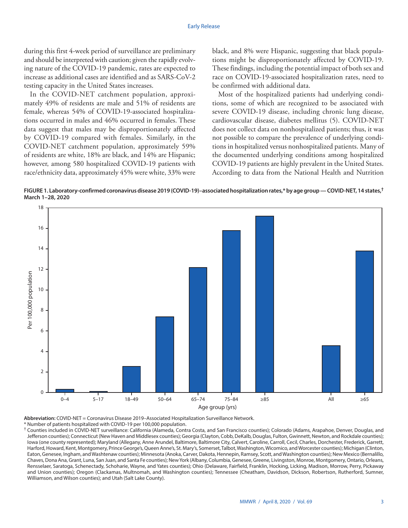during this first 4-week period of surveillance are preliminary and should be interpreted with caution; given the rapidly evolving nature of the COVID-19 pandemic, rates are expected to increase as additional cases are identified and as SARS-CoV-2 testing capacity in the United States increases.

In the COVID-NET catchment population, approximately 49% of residents are male and 51% of residents are female, whereas 54% of COVID-19-associated hospitalizations occurred in males and 46% occurred in females. These data suggest that males may be disproportionately affected by COVID-19 compared with females. Similarly, in the COVID-NET catchment population, approximately 59% of residents are white, 18% are black, and 14% are Hispanic; however, among 580 hospitalized COVID-19 patients with race/ethnicity data, approximately 45% were white, 33% were black, and 8% were Hispanic, suggesting that black populations might be disproportionately affected by COVID-19. These findings, including the potential impact of both sex and race on COVID-19-associated hospitalization rates, need to be confirmed with additional data.

Most of the hospitalized patients had underlying conditions, some of which are recognized to be associated with severe COVID-19 disease, including chronic lung disease, cardiovascular disease, diabetes mellitus (5). COVID-NET does not collect data on nonhospitalized patients; thus, it was not possible to compare the prevalence of underlying conditions in hospitalized versus nonhospitalized patients. Many of the documented underlying conditions among hospitalized COVID-19 patients are highly prevalent in the United States. According to data from the National Health and Nutrition

**FIGURE 1. Laboratory-confirmed coronavirus disease 2019 (COVID-19)–associated hospitalization rates,\* by age group — COVID-NET, 14 states,† March 1–28, 2020**



**Abbreviation:** COVID-NET = Coronavirus Disease 2019–Associated Hospitalization Surveillance Network.

\* Number of patients hospitalized with COVID-19 per 100,000 population. † Counties included in COVID-NET surveillance: California (Alameda, Contra Costa, and San Francisco counties); Colorado (Adams, Arapahoe, Denver, Douglas, and Jefferson counties); Connecticut (New Haven and Middlesex counties); Georgia (Clayton, Cobb, DeKalb, Douglas, Fulton, Gwinnett, Newton, and Rockdale counties); Iowa (one county represented); Maryland (Allegany, Anne Arundel, Baltimore, Baltimore City, Calvert, Caroline, Carroll, Cecil, Charles, Dorchester, Frederick, Garrett, Harford, Howard, Kent, Montgomery, Prince George's, Queen Anne's, St. Mary's, Somerset, Talbot, Washington, Wicomico, and Worcester counties); Michigan (Clinton, Eaton, Genesee, Ingham, and Washtenaw counties); Minnesota (Anoka, Carver, Dakota, Hennepin, Ramsey, Scott, and Washington counties); New Mexico (Bernalillo, Chaves, Dona Ana, Grant, Luna, San Juan, and Santa Fe counties); New York (Albany, Columbia, Genesee, Greene, Livingston, Monroe, Montgomery, Ontario, Orleans, Rensselaer, Saratoga, Schenectady, Schoharie, Wayne, and Yates counties); Ohio (Delaware, Fairfield, Franklin, Hocking, Licking, Madison, Morrow, Perry, Pickaway and Union counties); Oregon (Clackamas, Multnomah, and Washington counties); Tennessee (Cheatham, Davidson, Dickson, Robertson, Rutherford, Sumner, Williamson, and Wilson counties); and Utah (Salt Lake County).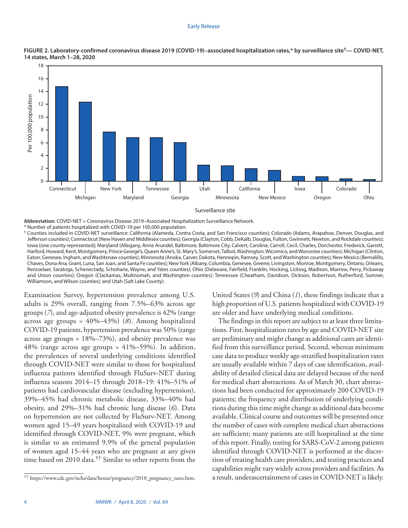#### Early Release





**Abbreviation:** COVID-NET = Coronavirus Disease 2019–Associated Hospitalization Surveillance Network. \* Number of patients hospitalized with COVID-19 per 100,000 population.

† Counties included in COVID-NET surveillance: California (Alameda, Contra Costa, and San Francisco counties); Colorado (Adams, Arapahoe, Denver, Douglas, and Jefferson counties); Connecticut (New Haven and Middlesex counties); Georgia (Clayton, Cobb, DeKalb, Douglas, Fulton, Gwinnett, Newton, and Rockdale counties); Iowa (one county represented); Maryland (Allegany, Anne Arundel, Baltimore, Baltimore City, Calvert, Caroline, Carroll, Cecil, Charles, Dorchester, Frederick, Garrett, Harford, Howard, Kent, Montgomery, Prince George's, Queen Anne's, St. Mary's, Somerset, Talbot, Washington, Wicomico, and Worcester counties); Michigan (Clinton, Eaton, Genesee, Ingham, and Washtenaw counties); Minnesota (Anoka, Carver, Dakota, Hennepin, Ramsey, Scott, and Washington counties); New Mexico (Bernalillo, Chaves, Dona Ana, Grant, Luna, San Juan, and Santa Fe counties); New York (Albany, Columbia, Genesee, Greene, Livingston, Monroe, Montgomery, Ontario, Orleans, Rensselaer, Saratoga, Schenectady, Schoharie, Wayne, and Yates counties); Ohio (Delaware, Fairfield, Franklin, Hocking, Licking, Madison, Morrow, Perry, Pickaway and Union counties); Oregon (Clackamas, Multnomah, and Washington counties); Tennessee (Cheatham, Davidson, Dickson, Robertson, Rutherford, Sumner, Williamson, and Wilson counties); and Utah (Salt Lake County).

Examination Survey, hypertension prevalence among U.S. adults is 29% overall, ranging from 7.5%–63% across age groups (*7*), and age-adjusted obesity prevalence is 42% (range across age groups = 40%–43%) (*8*). Among hospitalized COVID-19 patients, hypertension prevalence was 50% (range across age groups = 18%–73%), and obesity prevalence was 48% (range across age groups =  $41\% - 59\%$ ). In addition, the prevalences of several underlying conditions identified through COVID-NET were similar to those for hospitalized influenza patients identified through FluSurv-NET during influenza seasons 2014–15 through 2018–19: 41%–51% of patients had cardiovascular disease (excluding hypertension), 39%–45% had chronic metabolic disease, 33%–40% had obesity, and 29%–31% had chronic lung disease (*6*). Data on hypertension are not collected by FluSurv-NET. Among women aged 15–49 years hospitalized with COVID-19 and identified through COVID-NET, 9% were pregnant, which is similar to an estimated 9.9% of the general population of women aged 15–44 years who are pregnant at any given time based on 2010 data.†† Similar to other reports from the United States (*9*) and China (*1*), these findings indicate that a high proportion of U.S. patients hospitalized with COVID-19 are older and have underlying medical conditions.

The findings in this report are subject to at least three limitations. First, hospitalization rates by age and COVID-NET site are preliminary and might change as additional cases are identified from this surveillance period. Second, whereas minimum case data to produce weekly age-stratified hospitalization rates are usually available within 7 days of case identification, availability of detailed clinical data are delayed because of the need for medical chart abstractions. As of March 30, chart abstractions had been conducted for approximately 200 COVID-19 patients; the frequency and distribution of underlying conditions during this time might change as additional data become available. Clinical course and outcomes will be presented once the number of cases with complete medical chart abstractions are sufficient; many patients are still hospitalized at the time of this report. Finally, testing for SARS-CoV-2 among patients identified through COVID-NET is performed at the discretion of treating health care providers, and testing practices and capabilities might vary widely across providers and facilities. As a result, underascertainment of cases in COVID-NET is likely. †† https://www.cdc.gov/nchs/data/hestat/pregnancy/2010\_pregnancy\_rates.htm.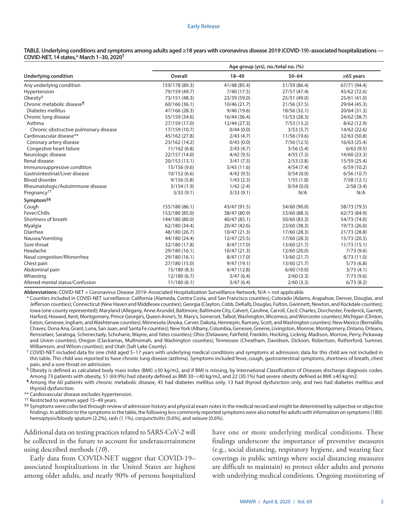#### Early Release

#### **TABLE. Underlying conditions and symptoms among adults aged ≥18 years with coronavirus disease 2019 (COVID-19)–associated hospitalizations — COVID-NET, 14 states,\* March 1–30, 2020†**

| <b>Underlying condition</b>            | Age group (yrs), no./total no. (%) |              |              |                 |
|----------------------------------------|------------------------------------|--------------|--------------|-----------------|
|                                        | Overall                            | $18 - 49$    | $50 - 64$    | $\geq 65$ years |
| Any underlying condition               | 159/178 (89.3)                     | 41/48 (85.4) | 51/59 (86.4) | 67/71 (94.4)    |
| Hypertension                           | 79/159 (49.7)                      | 7/40(17.5)   | 27/57 (47.4) | 45/62 (72.6)    |
| Obesity <sup>§</sup>                   | 73/151 (48.3)                      | 23/39 (59.0) | 25/51 (49.0) | 25/61 (41.0)    |
| Chronic metabolic disease <sup>¶</sup> | 60/166 (36.1)                      | 10/46 (21.7) | 21/56 (37.5) | 29/64 (45.3)    |
| Diabetes mellitus                      | 47/166 (28.3)                      | 9/46(19.6)   | 18/56 (32.1) | 20/64 (31.3)    |
| Chronic lung disease                   | 55/159 (34.6)                      | 16/44 (36.4) | 15/53 (28.3) | 24/62 (38.7)    |
| Asthma                                 | 27/159 (17.0)                      | 12/44 (27.3) | 7/53(13.2)   | 8/62(12.9)      |
| Chronic obstructive pulmonary disease  | 17/159 (10.7)                      | 0/44(0.0)    | 3/53(5.7)    | 14/62 (22.6)    |
| Cardiovascular disease**               | 45/162 (27.8)                      | 2/43(4.7)    | 11/56 (19.6) | 32/63 (50.8)    |
| Coronary artery disease                | 23/162 (14.2)                      | 0/43(0.0)    | 7/56(12.5)   | 16/63 (25.4)    |
| Congestive heart failure               | 11/162(6.8)                        | 2/43(4.7)    | 3/56(5.4)    | 6/63(9.5)       |
| Neurologic disease                     | 22/157 (14.0)                      | 4/42(9.5)    | 4/55(7.3)    | 14/60 (23.3)    |
| Renal disease                          | 20/153 (13.1)                      | 3/41(7.3)    | 2/53(3.8)    | 15/59 (25.4)    |
| Immunosuppressive condition            | 15/156 (9.6)                       | 5/43(11.6)   | 4/54(7.4)    | 6/59(10.2)      |
| Gastrointestinal/Liver disease         | 10/152(6.6)                        | 4/42(9.5)    | 0/54(0.0)    | 6/56(10.7)      |
| <b>Blood disorder</b>                  | 9/156(5.8)                         | 1/43(2.3)    | 1/55(1.8)    | 7/58(12.1)      |
| Rheumatologic/Autoimmune disease       | 3/154(1.9)                         | 1/42(2.4)    | 0/54(0.0)    | 2/58(3.4)       |
| Pregnancy <sup>††</sup>                | 3/33(9.1)                          | 3/33(9.1)    | N/A          | N/A             |
| Symptom <sup>§§</sup>                  |                                    |              |              |                 |
| Cough                                  | 155/180 (86.1)                     | 43/47 (91.5) | 54/60 (90.0) | 58/73 (79.5)    |
| Fever/Chills                           | 153/180 (85.0)                     | 38/47 (80.9) | 53/60 (88.3) | 62/73 (84.9)    |
| Shortness of breath                    | 144/180 (80.0)                     | 40/47 (85.1) | 50/60 (83.3) | 54/73 (74.0)    |
| Myalgia                                | 62/180 (34.4)                      | 20/47 (42.6) | 23/60 (38.3) | 19/73 (26.0)    |
| Diarrhea                               | 48/180 (26.7)                      | 10/47(21.3)  | 17/60 (28.3) | 21/73 (28.8)    |
| Nausea/Vomiting                        | 44/180 (24.4)                      | 12/47 (25.5) | 17/60 (28.3) | 15/73 (20.5)    |
| Sore throat                            | 32/180 (17.8)                      | 8/47 (17.0)  | 13/60 (21.7) | 11/73(15.1)     |
| Headache                               | 29/180 (16.1)                      | 10/47 (21.3) | 12/60 (20.0) | 7/73(9.6)       |
| Nasal congestion/Rhinorrhea            | 29/180 (16.1)                      | 8/47 (17.0)  | 13/60 (21.7) | 8/73(11.0)      |
| Chest pain                             | 27/180 (15.0)                      | 9/47(19.1)   | 13/60 (21.7) | 5/73(6.8)       |
| Abdominal pain                         | 15/180 (8.3)                       | 6/47(12.8)   | 6/60(10.0)   | 3/73(4.1)       |
| Wheezing                               | 12/180(6.7)                        | 3/47(6.4)    | 2/60(3.3)    | 7/73(9.6)       |
| Altered mental status/Confusion        | 11/180(6.1)                        | 3/47(6.4)    | 2/60(3.3)    | 6/73(8.2)       |

**Abbreviations:** COVID-NET = Coronavirus Disease 2019–Associated Hospitalization Surveillance Network; N/A = not applicable.

\* Counties included in COVID-NET surveillance: California (Alameda, Contra Costa, and San Francisco counties); Colorado (Adams, Arapahoe, Denver, Douglas, and Jefferson counties); Connecticut (New Haven and Middlesex counties); Georgia (Clayton, Cobb, DeKalb, Douglas, Fulton, Gwinnett, Newton, and Rockdale counties); Iowa (one county represented); Maryland (Allegany, Anne Arundel, Baltimore, Baltimore City, Calvert, Caroline, Carroll, Cecil, Charles, Dorchester, Frederick, Garrett, Harford, Howard, Kent, Montgomery, Prince George's, Queen Anne's, St. Mary's, Somerset, Talbot, Washington, Wicomico, and Worcester counties); Michigan (Clinton, Eaton, Genesee, Ingham, and Washtenaw counties); Minnesota (Anoka, Carver, Dakota, Hennepin, Ramsey, Scott, and Washington counties); New Mexico (Bernalillo, Chaves, Dona Ana, Grant, Luna, San Juan, and Santa Fe counties); New York (Albany, Columbia, Genesee, Greene, Livingston, Monroe, Montgomery, Ontario, Orleans, Rensselaer, Saratoga, Schenectady, Schoharie, Wayne, and Yates counties); Ohio (Delaware, Fairfield, Franklin, Hocking, Licking, Madison, Morrow, Perry, Pickaway and Union counties); Oregon (Clackamas, Multnomah, and Washington counties); Tennessee (Cheatham, Davidson, Dickson, Robertson, Rutherford, Sumner, Williamson, and Wilson counties); and Utah (Salt Lake County).

† COVID-NET included data for one child aged 5–17 years with underlying medical conditions and symptoms at admission; data for this child are not included in this table. This child was reported to have chronic lung disease (asthma). Symptoms included fever, cough, gastrointestinal symptoms, shortness of breath, chest pain, and a sore throat on admission.

§ Obesity is defined as calculated body mass index (BMI) ≥30 kg/m2, and if BMI is missing, by International Classification of Diseases discharge diagnosis codes. Among 73 patients with obesity, 51 (69.9%) had obesity defined as BMI 30–<40 kg/m2, and 22 (30.1%) had severe obesity defined as BMI ≥40 kg/m2.

¶ Among the 60 patients with chronic metabolic disease, 45 had diabetes mellitus only, 13 had thyroid dysfunction only, and two had diabetes mellitus and thyroid dysfunction.

\*\* Cardiovascular disease excludes hypertension.

†† Restricted to women aged 15–49 years.

<sup>§§</sup> Symptoms were collected through review of admission history and physical exam notes in the medical record and might be determined by subjective or objective findings. In addition to the symptoms in the table, the following less commonly reported symptoms were also noted for adults with information on symptoms (180): hemoptysis/bloody sputum (2.2%), rash (1.1%), conjunctivitis (0.6%), and seizure (0.6%).

Additional data on testing practices related to SARS-CoV-2 will be collected in the future to account for underascertainment using described methods (*10*).

Early data from COVID-NET suggest that COVID-19– associated hospitalizations in the United States are highest among older adults, and nearly 90% of persons hospitalized have one or more underlying medical conditions. These findings underscore the importance of preventive measures (e.g., social distancing, respiratory hygiene, and wearing face coverings in public settings where social distancing measures are difficult to maintain) to protect older adults and persons with underlying medical conditions. Ongoing monitoring of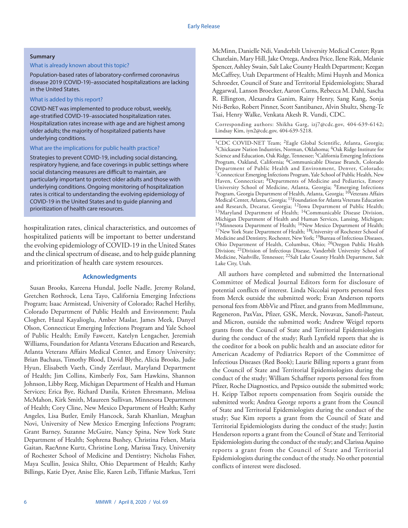## **Summary**

# What is already known about this topic?

Population-based rates of laboratory-confirmed coronavirus disease 2019 (COVID-19)–associated hospitalizations are lacking in the United States.

## What is added by this report?

COVID-NET was implemented to produce robust, weekly, age-stratified COVID-19–associated hospitalization rates. Hospitalization rates increase with age and are highest among older adults; the majority of hospitalized patients have underlying conditions.

# What are the implications for public health practice?

Strategies to prevent COVID-19, including social distancing, respiratory hygiene, and face coverings in public settings where social distancing measures are difficult to maintain, are particularly important to protect older adults and those with underlying conditions. Ongoing monitoring of hospitalization rates is critical to understanding the evolving epidemiology of COVID-19 in the United States and to guide planning and prioritization of health care resources.

hospitalization rates, clinical characteristics, and outcomes of hospitalized patients will be important to better understand the evolving epidemiology of COVID-19 in the United States and the clinical spectrum of disease, and to help guide planning and prioritization of health care system resources.

# **Acknowledgments**

Susan Brooks, Kareena Hundal, Joelle Nadle, Jeremy Roland, Gretchen Rothrock, Lena Tayo, California Emerging Infections Program; Isaac Armistead, University of Colorado; Rachel Herlihy, Colorado Department of Public Health and Environment; Paula Clogher, Hazal Kayalioglu, Amber Maslar, James Meek, Danyel Olson, Connecticut Emerging Infections Program and Yale School of Public Health; Emily Fawcett, Katelyn Lengacher, Jeremiah Williams, Foundation for Atlanta Veterans Education and Research, Atlanta Veterans Affairs Medical Center, and Emory University; Brian Bachaus, Timothy Blood, David Blythe, Alicia Brooks, Judie Hyun, Elisabeth Vaeth, Cindy Zerrlaut, Maryland Department of Health; Jim Collins, Kimberly Fox, Sam Hawkins, Shannon Johnson, Libby Reeg, Michigan Department of Health and Human Services; Erica Bye, Richard Danila, Kristen Ehresmann, Melissa McMahon, Kirk Smith, Maureen Sullivan, Minnesota Department of Health; Cory Cline, New Mexico Department of Health; Kathy Angeles, Lisa Butler, Emily Hancock, Sarah Khanlian, Meaghan Novi, University of New Mexico Emerging Infections Program; Grant Barney, Suzanne McGuire, Nancy Spina, New York State Department of Health; Sophrena Bushey, Christina Felsen, Maria Gaitan, RaeAnne Kurtz, Christine Long, Marissa Tracy, University of Rochester School of Medicine and Dentistry; Nicholas Fisher, Maya Scullin, Jessica Shiltz, Ohio Department of Health; Kathy Billings, Katie Dyer, Anise Elie, Karen Leib, Tiffanie Markus, Terri

McMinn, Danielle Ndi, Vanderbilt University Medical Center; Ryan Chatelain, Mary Hill, Jake Ortega, Andrea Price, Ilene Risk, Melanie Spencer, Ashley Swain, Salt Lake County Health Department; Keegan McCaffrey, Utah Department of Health; Mimi Huynh and Monica Schroeder, Council of State and Territorial Epidemiologists; Sharad Aggarwal, Lanson Broecker, Aaron Curns, Rebecca M. Dahl, Sascha R. Ellington, Alexandra Ganim, Rainy Henry, Sang Kang, Sonja Nti-Berko, Robert Pinner, Scott Santibanez, Alvin Shultz, Sheng-Te Tsai, Henry Walke, Venkata Akesh R. Vundi, CDC.

Corresponding authors: Shikha Garg, [izj7@cdc.gov,](mailto:izj7@cdc.gov) 404-639-6142; Lindsay Kim, [iyn2@cdc.gov,](mailto:iyn2@cdc.gov) 404-639-5218.

1CDC COVID-NET Team; 2Eagle Global Scientific, Atlanta, Georgia; <sup>3</sup>Chickasaw Nation Industries, Norman, Oklahoma; <sup>4</sup>Oak Ridge Institute for Science and Education, Oak Ridge, Tennessee; <sup>5</sup>California Emerging Infections Program, Oakland, California; 6Communicable Disease Branch, Colorado Department of Public Health and Environment, Denver, Colorado; 7Connecticut Emerging Infections Program, Yale School of Public Health, New Haven, Connecticut; 8Departments of Medicine and Pediatrics, Emory University School of Medicine, Atlanta, Georgia; 9Emerging Infections Program, Georgia Department of Health, Atlanta, Georgia; <sup>10</sup>Veterans Affairs Medical Center, Atlanta, Georgia; 11Foundation for Atlanta Veterans Education and Research, Decatur, Georgia; 12Iowa Department of Public Health; 13Maryland Department of Health; 14Communicable Disease Division, Michigan Department of Health and Human Services, Lansing, Michigan; <sup>15</sup>Minnesota Department of Health; <sup>16</sup>New Mexico Department of Health; <sup>17</sup>New York State Department of Health; <sup>18</sup>University of Rochester School of Medicine and Dentistry, Rochester, New York; 19Bureau of Infectious Diseases, Ohio Department of Health, Columbus, Ohio; 20Oregon Public Health Division; 21Division of Infectious Disease, Vanderbilt University School of Medicine, Nashville, Tennessee; 22Salt Lake County Health Department, Salt Lake City, Utah.

All authors have completed and submitted the International Committee of Medical Journal Editors form for disclosure of potential conflicts of interest. Linda Niccolai reports personal fees from Merck outside the submitted work; Evan Anderson reports personal fees from AbbVie and Pfizer, and grants from MedImmune, Regeneron, PaxVax, Pfizer, GSK, Merck, Novavax, Sanofi-Pasteur, and Micron, outside the submitted work; Andrew Weigel reports grants from the Council of State and Territorial Epidemiologists during the conduct of the study; Ruth Lynfield reports that she is the coeditor for a book on public health and an associate editor for American Academy of Pediatrics Report of the Committee of Infectious Diseases (Red Book); Laurie Billing reports a grant from the Council of State and Territorial Epidemiologists during the conduct of the study; William Schaffner reports personal fees from Pfizer, Roche Diagnostics, and Pepsico outside the submitted work; H. Keipp Talbot reports compensation from Seqiris outside the submitted work; Andrea George reports a grant from the Council of State and Territorial Epidemiologists during the conduct of the study; Sue Kim reports a grant from the Council of State and Territorial Epidemiologists during the conduct of the study; Justin Henderson reports a grant from the Council of State and Territorial Epidemiologists during the conduct of the study; and Clarissa Aquino reports a grant from the Council of State and Territorial Epidemiologists during the conduct of the study. No other potential conflicts of interest were disclosed.